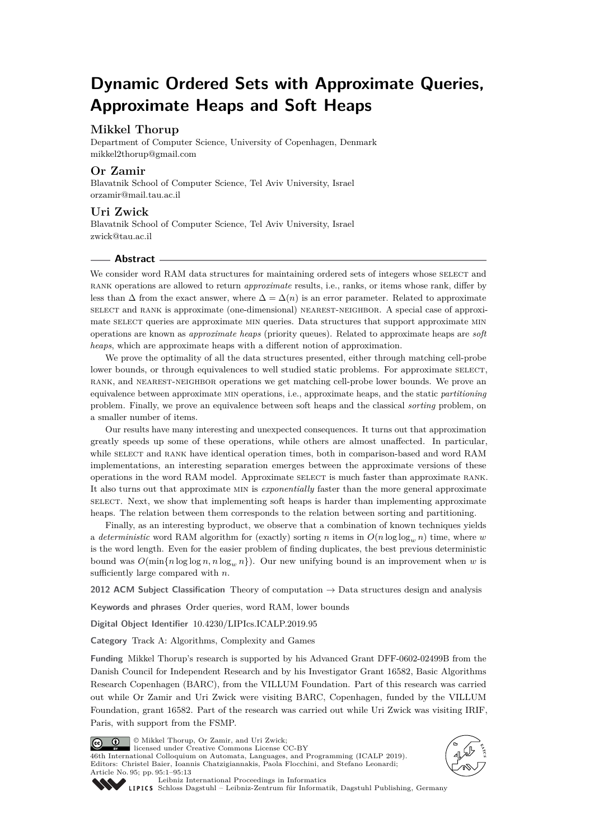# **Dynamic Ordered Sets with Approximate Queries, Approximate Heaps and Soft Heaps**

# **Mikkel Thorup**

Department of Computer Science, University of Copenhagen, Denmark [mikkel2thorup@gmail.com](mailto:mikkel2thorup@gmail.com)

## **Or Zamir**

Blavatnik School of Computer Science, Tel Aviv University, Israel [orzamir@mail.tau.ac.il](mailto:orzamir@mail.tau.ac.il)

# **Uri Zwick**

Blavatnik School of Computer Science, Tel Aviv University, Israel [zwick@tau.ac.il](mailto:zwick@tau.ac.il)

## **Abstract**

We consider word RAM data structures for maintaining ordered sets of integers whose SELECT and rank operations are allowed to return *approximate* results, i.e., ranks, or items whose rank, differ by less than  $\Delta$  from the exact answer, where  $\Delta = \Delta(n)$  is an error parameter. Related to approximate select and rank is approximate (one-dimensional) nearest-neighbor. A special case of approximate SELECT queries are approximate MIN queries. Data structures that support approximate MIN operations are known as *approximate heaps* (priority queues). Related to approximate heaps are *soft heaps*, which are approximate heaps with a different notion of approximation.

We prove the optimality of all the data structures presented, either through matching cell-probe lower bounds, or through equivalences to well studied static problems. For approximate SELECT, rank, and nearest-neighbor operations we get matching cell-probe lower bounds. We prove an equivalence between approximate min operations, i.e., approximate heaps, and the static *partitioning* problem. Finally, we prove an equivalence between soft heaps and the classical *sorting* problem, on a smaller number of items.

Our results have many interesting and unexpected consequences. It turns out that approximation greatly speeds up some of these operations, while others are almost unaffected. In particular, while SELECT and RANK have identical operation times, both in comparison-based and word RAM implementations, an interesting separation emerges between the approximate versions of these operations in the word RAM model. Approximate SELECT is much faster than approximate RANK. It also turns out that approximate min is *exponentially* faster than the more general approximate select. Next, we show that implementing soft heaps is harder than implementing approximate heaps. The relation between them corresponds to the relation between sorting and partitioning.

Finally, as an interesting byproduct, we observe that a combination of known techniques yields a *deterministic* word RAM algorithm for (exactly) sorting *n* items in  $O(n \log \log_{w} n)$  time, where *w* is the word length. Even for the easier problem of finding duplicates, the best previous deterministic bound was  $O(\min\{n \log \log n, n \log_w n\})$ . Our new unifying bound is an improvement when *w* is sufficiently large compared with *n*.

**2012 ACM Subject Classification** Theory of computation → Data structures design and analysis

**Keywords and phrases** Order queries, word RAM, lower bounds

**Digital Object Identifier** [10.4230/LIPIcs.ICALP.2019.95](https://doi.org/10.4230/LIPIcs.ICALP.2019.95)

**Category** Track A: Algorithms, Complexity and Games

**Funding** Mikkel Thorup's research is supported by his Advanced Grant DFF-0602-02499B from the Danish Council for Independent Research and by his Investigator Grant 16582, Basic Algorithms Research Copenhagen (BARC), from the VILLUM Foundation. Part of this research was carried out while Or Zamir and Uri Zwick were visiting BARC, Copenhagen, funded by the VILLUM Foundation, grant 16582. Part of the research was carried out while Uri Zwick was visiting IRIF, Paris, with support from the FSMP.



© Mikkel Thorup, Or Zamir, and Uri Zwick;

licensed under Creative Commons License CC-BY 46th International Colloquium on Automata, Languages, and Programming (ICALP 2019). Editors: Christel Baier, Ioannis Chatzigiannakis, Paola Flocchini, and Stefano Leonardi; Article No. 95; pp. 95:1–95[:13](#page-12-0)





[Leibniz International Proceedings in Informatics](https://www.dagstuhl.de/lipics/)

[Schloss Dagstuhl – Leibniz-Zentrum für Informatik, Dagstuhl Publishing, Germany](https://www.dagstuhl.de)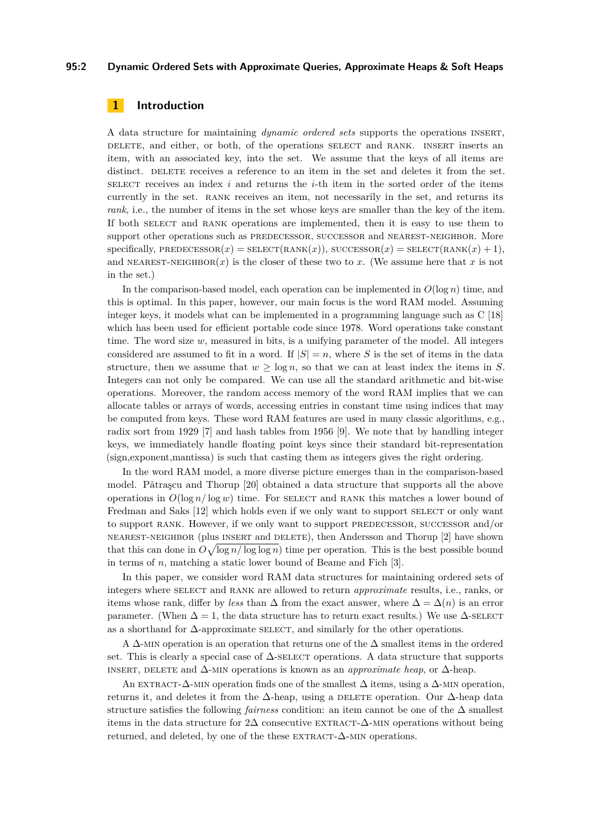#### **95:2 Dynamic Ordered Sets with Approximate Queries, Approximate Heaps & Soft Heaps**

# **1 Introduction**

A data structure for maintaining *dynamic ordered sets* supports the operations insert, delette, and either, or both, of the operations SELECT and RANK. INSERT inserts an item, with an associated key, into the set. We assume that the keys of all items are distinct. DELETE receives a reference to an item in the set and deletes it from the set. select receives an index *i* and returns the *i*-th item in the sorted order of the items currently in the set. RANK receives an item, not necessarily in the set, and returns its *rank*, i.e., the number of items in the set whose keys are smaller than the key of the item. If both SELECT and RANK operations are implemented, then it is easy to use them to support other operations such as PREDECESSOR, SUCCESSOR and NEAREST-NEIGHBOR. More  $specifically, PREDECESSOR(x) = SELECT(RANK(x)), SUCCESOR(x) = SELECT(RANK(x) + 1),$ and NEAREST-NEIGHBOR $(x)$  is the closer of these two to x. (We assume here that x is not in the set.)

In the comparison-based model, each operation can be implemented in  $O(\log n)$  time, and this is optimal. In this paper, however, our main focus is the word RAM model. Assuming integer keys, it models what can be implemented in a programming language such as C [\[18\]](#page-12-1) which has been used for efficient portable code since 1978. Word operations take constant time. The word size *w*, measured in bits, is a unifying parameter of the model. All integers considered are assumed to fit in a word. If  $|S| = n$ , where *S* is the set of items in the data structure, then we assume that  $w > \log n$ , so that we can at least index the items in *S*. Integers can not only be compared. We can use all the standard arithmetic and bit-wise operations. Moreover, the random access memory of the word RAM implies that we can allocate tables or arrays of words, accessing entries in constant time using indices that may be computed from keys. These word RAM features are used in many classic algorithms, e.g., radix sort from 1929 [\[7\]](#page-12-2) and hash tables from 1956 [\[9\]](#page-12-3). We note that by handling integer keys, we immediately handle floating point keys since their standard bit-representation (sign,exponent,mantissa) is such that casting them as integers gives the right ordering.

In the word RAM model, a more diverse picture emerges than in the comparison-based model. Pǎtraşcu and Thorup [\[20\]](#page-12-4) obtained a data structure that supports all the above operations in  $O(\log n/\log w)$  time. For SELECT and RANK this matches a lower bound of Fredman and Saks [\[12\]](#page-12-5) which holds even if we only want to support SELECT or only want to support RANK. However, if we only want to support PREDECESSOR, SUCCESSOR and/or nearest-neighbor (plus insert and delete), then Andersson and Thorup [\[2\]](#page-11-0) have shown that this can done in  $O(\sqrt{\log n/\log \log n})$  time per operation. This is the best possible bound in terms of *n*, matching a static lower bound of Beame and Fich [\[3\]](#page-11-1).

In this paper, we consider word RAM data structures for maintaining ordered sets of integers where SELECT and RANK are allowed to return *approximate* results, i.e., ranks, or items whose rank, differ by *less* than  $\Delta$  from the exact answer, where  $\Delta = \Delta(n)$  is an error parameter. (When  $\Delta = 1$ , the data structure has to return exact results.) We use  $\Delta$ -SELECT as a shorthand for ∆-approximate select, and similarly for the other operations.

A  $\Delta$ -MIN operation is an operation that returns one of the  $\Delta$  smallest items in the ordered set. This is clearly a special case of  $\Delta$ -select operations. A data structure that supports insert, delete and ∆-min operations is known as an *approximate heap*, or ∆-heap.

An EXTRACT- $\Delta$ -MIN operation finds one of the smallest  $\Delta$  items, using a  $\Delta$ -MIN operation, returns it, and deletes it from the  $\Delta$ -heap, using a DELETE operation. Our  $\Delta$ -heap data structure satisfies the following *fairness* condition: an item cannot be one of the ∆ smallest items in the data structure for  $2\Delta$  consecutive EXTRACT- $\Delta$ -MIN operations without being returned, and deleted, by one of the these EXTRACT- $\Delta$ -MIN operations.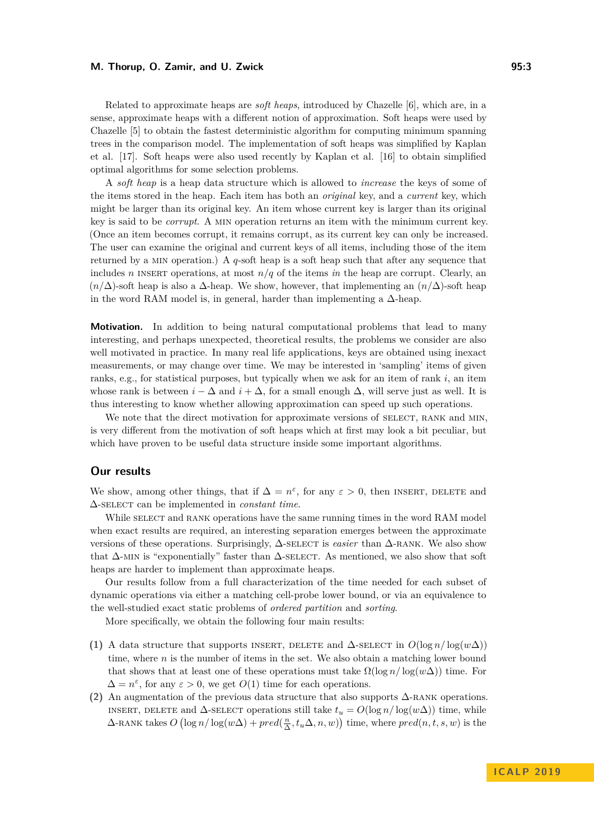Related to approximate heaps are *soft heaps*, introduced by Chazelle [\[6\]](#page-12-6), which are, in a sense, approximate heaps with a different notion of approximation. Soft heaps were used by Chazelle [\[5\]](#page-12-7) to obtain the fastest deterministic algorithm for computing minimum spanning trees in the comparison model. The implementation of soft heaps was simplified by Kaplan et al. [\[17\]](#page-12-8). Soft heaps were also used recently by Kaplan et al. [\[16\]](#page-12-9) to obtain simplified optimal algorithms for some selection problems.

A *soft heap* is a heap data structure which is allowed to *increase* the keys of some of the items stored in the heap. Each item has both an *original* key, and a *current* key, which might be larger than its original key. An item whose current key is larger than its original key is said to be *corrupt*. A min operation returns an item with the minimum current key. (Once an item becomes corrupt, it remains corrupt, as its current key can only be increased. The user can examine the original and current keys of all items, including those of the item returned by a min operation.) A *q*-soft heap is a soft heap such that after any sequence that includes *n* INSERT operations, at most  $n/q$  of the items *in* the heap are corrupt. Clearly, an (*n/*∆)-soft heap is also a ∆-heap. We show, however, that implementing an (*n/*∆)-soft heap in the word RAM model is, in general, harder than implementing a  $\Delta$ -heap.

**Motivation.** In addition to being natural computational problems that lead to many interesting, and perhaps unexpected, theoretical results, the problems we consider are also well motivated in practice. In many real life applications, keys are obtained using inexact measurements, or may change over time. We may be interested in 'sampling' items of given ranks, e.g., for statistical purposes, but typically when we ask for an item of rank *i*, an item whose rank is between  $i - \Delta$  and  $i + \Delta$ , for a small enough  $\Delta$ , will serve just as well. It is thus interesting to know whether allowing approximation can speed up such operations.

We note that the direct motivation for approximate versions of SELECT, RANK and MIN, is very different from the motivation of soft heaps which at first may look a bit peculiar, but which have proven to be useful data structure inside some important algorithms.

## **Our results**

We show, among other things, that if  $\Delta = n^{\varepsilon}$ , for any  $\varepsilon > 0$ , then INSERT, DELETE and ∆-select can be implemented in *constant time*.

While SELECT and RANK operations have the same running times in the word RAM model when exact results are required, an interesting separation emerges between the approximate versions of these operations. Surprisingly, ∆-select is *easier* than ∆-rank. We also show that  $\Delta$ -MIN is "exponentially" faster than  $\Delta$ -SELECT. As mentioned, we also show that soft heaps are harder to implement than approximate heaps.

Our results follow from a full characterization of the time needed for each subset of dynamic operations via either a matching cell-probe lower bound, or via an equivalence to the well-studied exact static problems of *ordered partition* and *sorting*.

More specifically, we obtain the following four main results:

- **(1)** A data structure that supports INSERT, DELETE and  $\Delta$ -SELECT in  $O(\log n / \log(w\Delta))$ time, where *n* is the number of items in the set. We also obtain a matching lower bound that shows that at least one of these operations must take  $\Omega(\log n / \log(w \Delta))$  time. For  $\Delta = n^{\varepsilon}$ , for any  $\varepsilon > 0$ , we get  $O(1)$  time for each operations.
- **(2)** An augmentation of the previous data structure that also supports ∆-rank operations. INSERT, DELETE and  $\Delta$ -SELECT operations still take  $t_u = O(\log n / \log(w \Delta))$  time, while  $\Delta$ -RANK takes  $O\left(\log n/\log(w\Delta) + pred(\frac{n}{\Delta}, t_u\Delta, n, w)\right)$  time, where  $pred(n, t, s, w)$  is the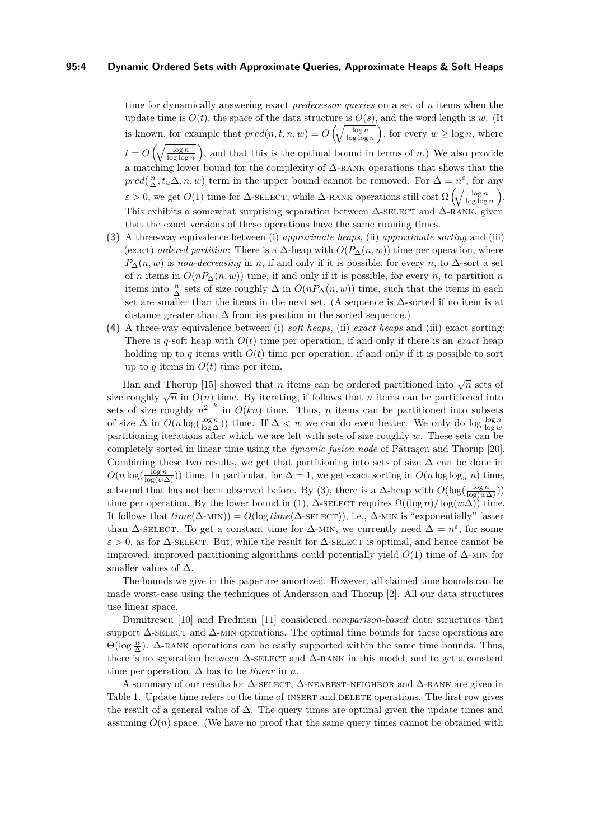#### **95:4 Dynamic Ordered Sets with Approximate Queries, Approximate Heaps & Soft Heaps**

time for dynamically answering exact *predecessor queries* on a set of *n* items when the update time is  $O(t)$ , the space of the data structure is  $O(s)$ , and the word length is *w*. (It is known, for example that  $pred(n, t, n, w) = O\left(\sqrt{\frac{\log n}{\log \log n}}\right)$ , for every  $w \ge \log n$ , where  $t = O\left(\sqrt{\frac{\log n}{\log \log n}}\right)$ , and that this is the optimal bound in terms of *n*.) We also provide a matching lower bound for the complexity of ∆-rank operations that shows that the  $pred(\frac{n}{\Delta}, t_u \Delta, n, w)$  term in the upper bound cannot be removed. For  $\Delta = n^{\varepsilon}$ , for any  $\varepsilon > 0$ , we get  $O(1)$  time for  $\Delta$ -SELECT, while  $\Delta$ -RANK operations still cost  $\Omega\left(\sqrt{\frac{\log n}{\log \log n}}\right)$ . This exhibits a somewhat surprising separation between  $\Delta$ -SELECT and  $\Delta$ -RANK, given that the exact versions of these operations have the same running times.

- **(3)** A three-way equivalence between (i) *approximate heaps*, (ii) *approximate sorting* and (iii) (exact) *ordered partition*: There is a  $\Delta$ -heap with  $O(P_{\Delta}(n, w))$  time per operation, where  $P_{\Delta}(n, w)$  is *non-decreasing* in *n*, if and only if it is possible, for every *n*, to ∆-sort a set of *n* items in  $O(nP_{\Delta}(n, w))$  time, if and only if it is possible, for every *n*, to partition *n* items into  $\frac{n}{\Delta}$  sets of size roughly  $\Delta$  in  $O(nP_{\Delta}(n, w))$  time, such that the items in each set are smaller than the items in the next set. (A sequence is  $\Delta$ -sorted if no item is at distance greater than  $\Delta$  from its position in the sorted sequence.)
- **(4)** A three-way equivalence between (i) *soft heaps*, (ii) *exact heaps* and (iii) exact sorting: There is *q*-soft heap with  $O(t)$  time per operation, if and only if there is an *exact* heap holding up to  $q$  items with  $O(t)$  time per operation, if and only if it is possible to sort up to *q* items in  $O(t)$  time per item.

Han and Thorup [\[15\]](#page-12-10) showed that *n* items can be ordered partitioned into  $\sqrt{n}$  sets of size roughly  $\sqrt{n}$  in  $O(n)$  time. By iterating, if follows that *n* items can be partitioned into sets of size roughly  $n^{2^{-k}}$  in  $O(kn)$  time. Thus, *n* items can be partitioned into subsets of size  $\Delta$  in  $O(n \log(\frac{\log n}{\log \Delta}))$  time. If  $\Delta < w$  we can do even better. We only do  $\log \frac{\log n}{\log w}$ partitioning iterations after which we are left with sets of size roughly *w*. These sets can be completely sorted in linear time using the *dynamic fusion node* of Pǎtrascu and Thorup [\[20\]](#page-12-4). Combining these two results, we get that partitioning into sets of size  $\Delta$  can be done in  $O(n \log(\frac{\log n}{\log(w\Delta)})$  time. In particular, for  $\Delta = 1$ , we get exact sorting in  $O(n \log \log_w n)$  time, a bound that has not been observed before. By (3), there is a  $\Delta$ -heap with  $O(\log(\frac{\log n}{\log(w\Delta)}))$ time per operation. By the lower bound in (1),  $\Delta$ -SELECT requires  $\Omega((\log n)/\log(w\Delta))$  time. It follows that  $time(\Delta\text{-MIN}) = O(\log time(\Delta\text{-SELECT})), i.e., \Delta\text{-MIN}$  is "exponentially" faster than  $\Delta$ -select. To get a constant time for  $\Delta$ -MIN, we currently need  $\Delta = n^{\varepsilon}$ , for some  $\varepsilon > 0$ , as for  $\Delta$ -select. But, while the result for  $\Delta$ -select is optimal, and hence cannot be improved, improved partitioning algorithms could potentially yield *O*(1) time of ∆-min for smaller values of  $\Delta$ .

The bounds we give in this paper are amortized. However, all claimed time bounds can be made worst-case using the techniques of Andersson and Thorup [\[2\]](#page-11-0). All our data structures use linear space.

Dumitrescu [\[10\]](#page-12-11) and Fredman [\[11\]](#page-12-12) considered *comparison-based* data structures that support  $\Delta$ -SELECT and  $\Delta$ -MIN operations. The optimal time bounds for these operations are  $\Theta(\log \frac{n}{\Delta})$ .  $\Delta$ -RANK operations can be easily supported within the same time bounds. Thus, there is no separation between  $\Delta$ -SELECT and  $\Delta$ -RANK in this model, and to get a constant time per operation,  $\Delta$  has to be *linear* in *n*.

A summary of our results for  $\Delta$ -SELECT,  $\Delta$ -NEAREST-NEIGHBOR and  $\Delta$ -RANK are given in Table [1.](#page-4-0) Update time refers to the time of INSERT and DELETE operations. The first row gives the result of a general value of  $\Delta$ . The query times are optimal given the update times and assuming  $O(n)$  space. (We have no proof that the same query times cannot be obtained with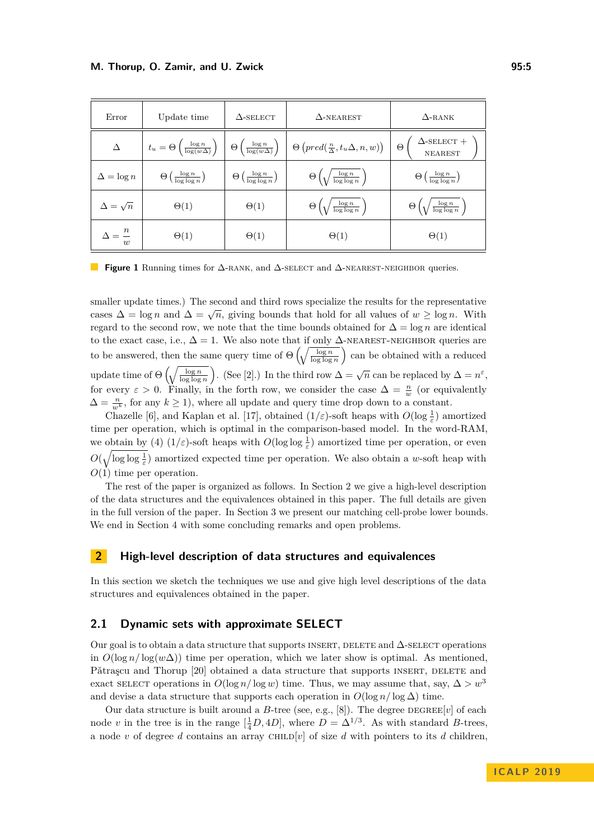<span id="page-4-0"></span>

| Error               | Update time                                             | $\Delta$ -SELECT                                  | $\Delta$ -NEAREST                                            | $\Delta$ -RANK                                         |
|---------------------|---------------------------------------------------------|---------------------------------------------------|--------------------------------------------------------------|--------------------------------------------------------|
| Δ                   | $t_u = \Theta\left(\frac{\log n}{\log(w\Delta)}\right)$ | $\Theta\left(\frac{\log n}{\log(w\Delta)}\right)$ | $\Theta\left(pred(\frac{n}{\Delta}, t_u\Delta, n, w)\right)$ | $\Delta$ -SELECT +<br>Θ<br><b>NEAREST</b>              |
| $\Delta = \log n$   | $\Theta\left(\frac{\log n}{\log \log n}\right)$         | $\Theta\left(\frac{\log n}{\log \log n}\right)$   | $\Theta\left(\sqrt{\frac{\log n}{\log \log n}}\right)$       | $\Theta\left(\frac{\log n}{\log \log n}\right)$        |
| $\Delta = \sqrt{n}$ | $\Theta(1)$                                             | $\Theta(1)$                                       | $\Theta\left(\sqrt{\frac{\log n}{\log \log n}}\right)$       | $\Theta\left(\sqrt{\frac{\log n}{\log \log n}}\right)$ |
| $\overline{w}$      | $\Theta(1)$                                             | $\Theta(1)$                                       | $\Theta(1)$                                                  | $\Theta(1)$                                            |

**The Second Second Figure 1** Running times for  $\Delta$ -RANK, and  $\Delta$ -SELECT and  $\Delta$ -NEAREST-NEIGHBOR queries.

smaller update times.) The second and third rows specialize the results for the representative cases  $\Delta = \log n$  and  $\Delta = \sqrt{n}$ , giving bounds that hold for all values of  $w \ge \log n$ . With regard to the second row, we note that the time bounds obtained for  $\Delta = \log n$  are identical to the exact case, i.e.,  $\Delta = 1$ . We also note that if only  $\Delta$ -NEAREST-NEIGHBOR queries are to be answered, then the same query time of  $\Theta\left(\sqrt{\frac{\log n}{\log \log n}}\right)$  can be obtained with a reduced update time of  $\Theta\left(\sqrt{\frac{\log n}{\log \log n}}\right)$ . (See [\[2\]](#page-11-0).) In the third row  $\Delta = \sqrt{n}$  can be replaced by  $\Delta = n^{\epsilon}$ , for every  $\varepsilon > 0$ . Finally, in the forth row, we consider the case  $\Delta = \frac{n}{w}$  (or equivalently  $\Delta = \frac{n}{w^k}$ , for any  $k \ge 1$ ), where all update and query time drop down to a constant.

Chazelle [\[6\]](#page-12-6), and Kaplan et al. [\[17\]](#page-12-8), obtained  $(1/\varepsilon)$ -soft heaps with  $O(\log \frac{1}{\varepsilon})$  amortized time per operation, which is optimal in the comparison-based model. In the word-RAM, we obtain by (4)  $(1/\varepsilon)$ -soft heaps with  $O(\log \log \frac{1}{\varepsilon})$  amortized time per operation, or even  $O(\sqrt{\log \log \frac{1}{\varepsilon}})$  amortized expected time per operation. We also obtain a *w*-soft heap with *O*(1) time per operation.

The rest of the paper is organized as follows. In Section [2](#page-4-1) we give a high-level description of the data structures and the equivalences obtained in this paper. The full details are given in the full version of the paper. In Section [3](#page-9-0) we present our matching cell-probe lower bounds. We end in Section [4](#page-11-2) with some concluding remarks and open problems.

## <span id="page-4-1"></span>**2 High-level description of data structures and equivalences**

In this section we sketch the techniques we use and give high level descriptions of the data structures and equivalences obtained in the paper.

#### <span id="page-4-2"></span>**2.1 Dynamic sets with approximate SELECT**

Our goal is to obtain a data structure that supports INSERT, DELETE and  $\Delta$ -SELECT operations in  $O(\log n / \log(w \Delta))$  time per operation, which we later show is optimal. As mentioned, Pǎtraşcu and Thorup [\[20\]](#page-12-4) obtained a data structure that supports INSERT, DELETE and exact select operations in  $O(\log n / \log w)$  time. Thus, we may assume that, say,  $\Delta > w^3$ and devise a data structure that supports each operation in  $O(\log n / \log \Delta)$  time.

Our data structure is built around a *B*-tree (see, e.g., [\[8\]](#page-12-13)). The degree  $DEGREE[v]$  of each node *v* in the tree is in the range  $\left[\frac{1}{4}D, 4D\right]$ , where  $D = \Delta^{1/3}$ . As with standard *B*-trees, a node *v* of degree *d* contains an array CHILD[*v*] of size *d* with pointers to its *d* children,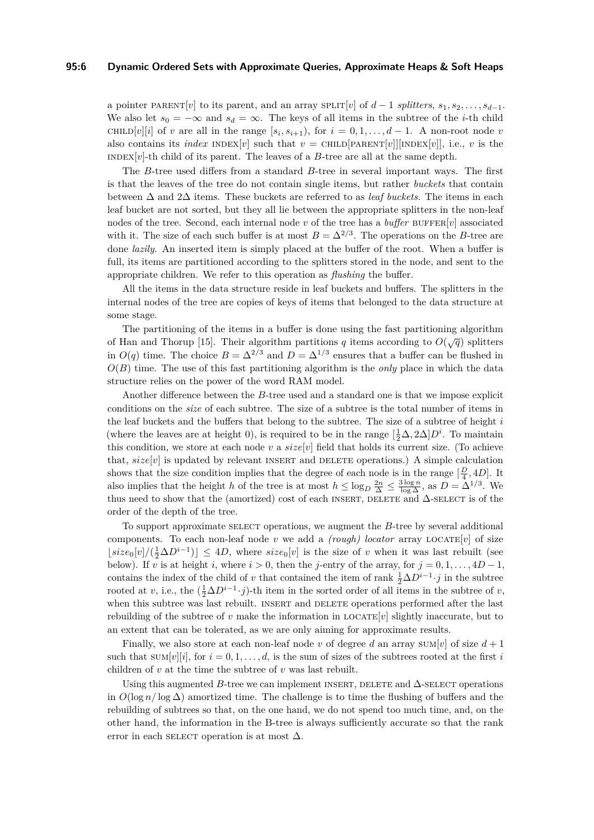#### **95:6 Dynamic Ordered Sets with Approximate Queries, Approximate Heaps & Soft Heaps**

a pointer PARENT[*v*] to its parent, and an array SPLIT[*v*] of  $d-1$  *splitters*,  $s_1, s_2, \ldots, s_{d-1}$ . We also let  $s_0 = -\infty$  and  $s_d = \infty$ . The keys of all items in the subtree of the *i*-th child child  $[v][i]$  of *v* are all in the range  $[s_i, s_{i+1})$ , for  $i = 0, 1, ..., d-1$ . A non-root node *v* also contains its *index* INDEX[*v*] such that  $v = \text{CHILD}[\text{PARENT}[v]][\text{INDEX}[v]]$ , i.e., *v* is the INDEX $[v]$ -th child of its parent. The leaves of a *B*-tree are all at the same depth.

The *B*-tree used differs from a standard *B*-tree in several important ways. The first is that the leaves of the tree do not contain single items, but rather *buckets* that contain between ∆ and 2∆ items. These buckets are referred to as *leaf buckets*. The items in each leaf bucket are not sorted, but they all lie between the appropriate splitters in the non-leaf nodes of the tree. Second, each internal node *v* of the tree has a *buffer* BUFFER $[v]$  associated with it. The size of each such buffer is at most  $B = \Delta^{2/3}$ . The operations on the *B*-tree are done *lazily*. An inserted item is simply placed at the buffer of the root. When a buffer is full, its items are partitioned according to the splitters stored in the node, and sent to the appropriate children. We refer to this operation as *flushing* the buffer.

All the items in the data structure reside in leaf buckets and buffers. The splitters in the internal nodes of the tree are copies of keys of items that belonged to the data structure at some stage.

The partitioning of the items in a buffer is done using the fast partitioning algorithm of Han and Thorup [\[15\]](#page-12-10). Their algorithm partitions *q* items according to  $O(\sqrt{q})$  splitters in  $O(q)$  time. The choice  $B = \Delta^{2/3}$  and  $D = \Delta^{1/3}$  ensures that a buffer can be flushed in  $O(B)$  time. The use of this fast partitioning algorithm is the *only* place in which the data structure relies on the power of the word RAM model.

Another difference between the *B*-tree used and a standard one is that we impose explicit conditions on the *size* of each subtree. The size of a subtree is the total number of items in the leaf buckets and the buffers that belong to the subtree. The size of a subtree of height *i* (where the leaves are at height 0), is required to be in the range  $[\frac{1}{2}\Delta, 2\Delta]D^i$ . To maintain this condition, we store at each node *v* a  $size[v]$  field that holds its current size. (To achieve that,  $size[v]$  is updated by relevant INSERT and DELETE operations.) A simple calculation shows that the size condition implies that the degree of each node is in the range  $\left[\frac{D}{4}, 4D\right]$ . It also implies that the height *h* of the tree is at most  $h \leq \log_D \frac{2n}{\Delta} \leq \frac{3 \log n}{\log \Delta}$ , as  $D = \Lambda^{1/3}$ . We thus need to show that the (amortized) cost of each INSERT, DELETE and  $\Delta$ -SELECT is of the order of the depth of the tree.

To support approximate SELECT operations, we augment the *B*-tree by several additional components. To each non-leaf node  $v$  we add a *(rough) locator* array LOCATE $[v]$  of size  $\lfloor size_0[v]/(\frac{1}{2}\Delta D^{i-1}) \rfloor \leq 4D$ , where  $size_0[v]$  is the size of *v* when it was last rebuilt (see below). If *v* is at height *i*, where  $i > 0$ , then the *j*-entry of the array, for  $j = 0, 1, \ldots, 4D - 1$ , contains the index of the child of *v* that contained the item of rank  $\frac{1}{2}\Delta D^{i-1}\cdot j$  in the subtree rooted at *v*, i.e., the  $(\frac{1}{2}\Delta D^{i-1} \cdot j)$ -th item in the sorted order of all items in the subtree of *v*, when this subtree was last rebuilt. INSERT and DELETE operations performed after the last rebuilding of the subtree of  $v$  make the information in LOCATE $[v]$  slightly inaccurate, but to an extent that can be tolerated, as we are only aiming for approximate results.

Finally, we also store at each non-leaf node *v* of degree *d* an array  $\text{SUM}[v]$  of size  $d+1$ such that  $\text{sum}[v][i]$ , for  $i = 0, 1, \ldots, d$ , is the sum of sizes of the subtrees rooted at the first *i* children of  $v$  at the time the subtree of  $v$  was last rebuilt.

Using this augmented *B*-tree we can implement INSERT, DELETE and  $\Delta$ -SELECT operations in  $O(\log n/\log \Delta)$  amortized time. The challenge is to time the flushing of buffers and the rebuilding of subtrees so that, on the one hand, we do not spend too much time, and, on the other hand, the information in the B-tree is always sufficiently accurate so that the rank error in each selectr operation is at most  $\Delta$ .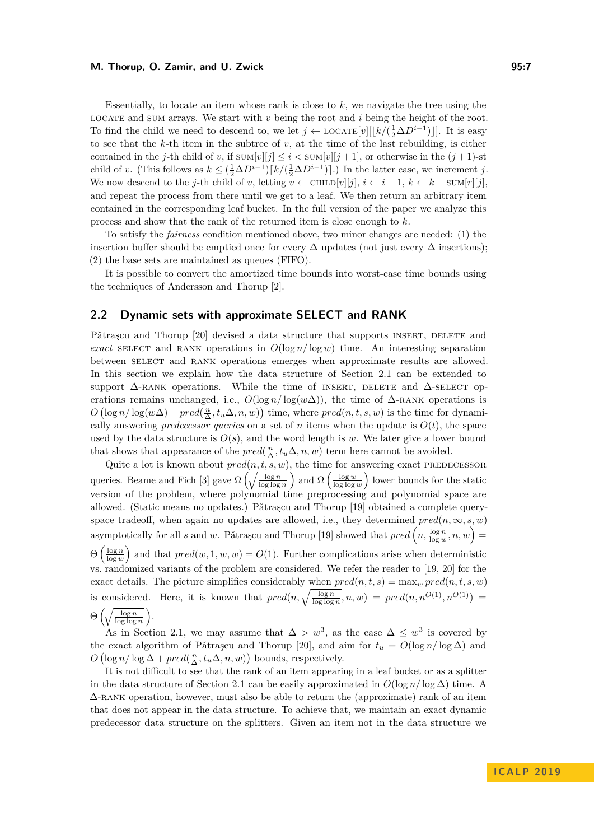Essentially, to locate an item whose rank is close to *k*, we navigate the tree using the LOCATE and SUM arrays. We start with  $v$  being the root and  $i$  being the height of the root. To find the child we need to descend to, we let  $j \leftarrow$  LOCATE[v][[ $k/(\frac{1}{2}\Delta D^{i-1})$ ]]. It is easy to see that the *k*-th item in the subtree of *v*, at the time of the last rebuilding, is either contained in the *j*-th child of *v*, if  $\text{sum}[v][j] \leq i < \text{sum}[v][j+1]$ , or otherwise in the  $(j+1)$ -st child of *v*. (This follows as  $k \leq (\frac{1}{2}\Delta D^{i-1})\lceil k/(\frac{1}{2}\Delta D^{i-1})\rceil$ .) In the latter case, we increment *j*. We now descend to the *j*-th child of *v*, letting  $v \leftarrow \text{CHILD}[v][j], i \leftarrow i-1, k \leftarrow k-\text{SUM}[r][j],$ and repeat the process from there until we get to a leaf. We then return an arbitrary item contained in the corresponding leaf bucket. In the full version of the paper we analyze this process and show that the rank of the returned item is close enough to *k*.

To satisfy the *fairness* condition mentioned above, two minor changes are needed: (1) the insertion buffer should be emptied once for every  $\Delta$  updates (not just every  $\Delta$  insertions); (2) the base sets are maintained as queues (FIFO).

It is possible to convert the amortized time bounds into worst-case time bounds using the techniques of Andersson and Thorup [\[2\]](#page-11-0).

## <span id="page-6-0"></span>**2.2 Dynamic sets with approximate SELECT and RANK**

Pǎtrascu and Thorup [\[20\]](#page-12-4) devised a data structure that supports INSERT, DELETE and *exact* SELECT and RANK operations in  $O(\log n / \log w)$  time. An interesting separation between SELECT and RANK operations emerges when approximate results are allowed. In this section we explain how the data structure of Section [2.1](#page-4-2) can be extended to support  $\Delta$ -RANK operations. While the time of INSERT, DELETE and  $\Delta$ -SELECT operations remains unchanged, i.e.,  $O(\log n / \log(w \Delta))$ , the time of  $\Delta$ -RANK operations is  $O\left(\log n/\log(w\Delta) + pred(\frac{n}{\Delta}, t_u\Delta, n, w)\right)$  time, where  $pred(n, t, s, w)$  is the time for dynamically answering *predecessor queries* on a set of *n* items when the update is  $O(t)$ , the space used by the data structure is  $O(s)$ , and the word length is *w*. We later give a lower bound that shows that appearance of the  $pred(\frac{n}{\Delta}, t_u \Delta, n, w)$  term here cannot be avoided.

Quite a lot is known about  $pred(n, t, s, w)$ , the time for answering exact PREDECESSOR queries. Beame and Fich [\[3\]](#page-11-1) gave  $\Omega\left(\sqrt{\frac{\log n}{\log \log n}}\right)$  and  $\Omega\left(\frac{\log w}{\log \log w}\right)$  lower bounds for the static version of the problem, where polynomial time preprocessing and polynomial space are allowed. (Static means no updates.) Pǎtraşcu and Thorup [\[19\]](#page-12-14) obtained a complete queryspace tradeoff, when again no updates are allowed, i.e., they determined  $pred(n, \infty, s, w)$ asymptotically for all *s* and *w*. Pǎtraşcu and Thorup [\[19\]](#page-12-14) showed that  $pred\left(n, \frac{\log n}{\log w}, n, w\right) =$  $\Theta\left(\frac{\log n}{\log w}\right)$  and that  $pred(w, 1, w, w) = O(1)$ . Further complications arise when deterministic vs. randomized variants of the problem are considered. We refer the reader to [\[19,](#page-12-14) [20\]](#page-12-4) for the exact details. The picture simplifies considerably when  $pred(n, t, s) = \max_{w} pred(n, t, s, w)$ is considered. Here, it is known that  $pred(n, \sqrt{\frac{\log n}{\log \log n}}, n, w) = pred(n, n^{O(1)}, n^{O(1)}) =$  $\Theta\left(\sqrt{\frac{\log n}{\log\log n}}\right)$ .

As in Section [2.1,](#page-4-2) we may assume that  $\Delta > w^3$ , as the case  $\Delta \leq w^3$  is covered by the exact algorithm of Pǎtraşcu and Thorup [\[20\]](#page-12-4), and aim for  $t_u = O(\log n / \log \Delta)$  and  $O\left(\log n/\log \Delta + pred(\frac{n}{\Delta}, t_u\Delta, n, w)\right)$  bounds, respectively.

It is not difficult to see that the rank of an item appearing in a leaf bucket or as a splitter in the data structure of Section [2.1](#page-4-2) can be easily approximated in  $O(\log n / \log \Delta)$  time. A  $\Delta$ -RANK operation, however, must also be able to return the (approximate) rank of an item that does not appear in the data structure. To achieve that, we maintain an exact dynamic predecessor data structure on the splitters. Given an item not in the data structure we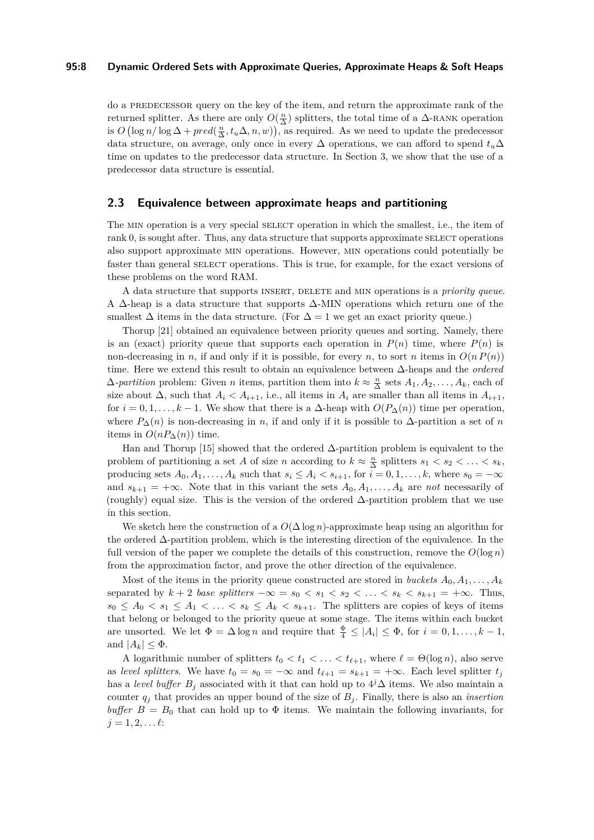#### **95:8 Dynamic Ordered Sets with Approximate Queries, Approximate Heaps & Soft Heaps**

do a predecessor query on the key of the item, and return the approximate rank of the returned splitter. As there are only  $O(\frac{n}{\Delta})$  splitters, the total time of a  $\Delta$ -RANK operation is  $O(\log n/\log \Delta + pred(\frac{n}{\Delta}, t_u\Delta, n, w))$ , as required. As we need to update the predecessor data structure, on average, only once in every  $\Delta$  operations, we can afford to spend  $t_u\Delta$ time on updates to the predecessor data structure. In Section [3,](#page-9-0) we show that the use of a predecessor data structure is essential.

## **2.3 Equivalence between approximate heaps and partitioning**

The MIN operation is a very special SELECT operation in which the smallest, i.e., the item of rank 0, is sought after. Thus, any data structure that supports approximate SELECT operations also support approximate min operations. However, min operations could potentially be faster than general SELECT operations. This is true, for example, for the exact versions of these problems on the word RAM.

A data structure that supports insert, delete and min operations is a *priority queue*. A ∆-heap is a data structure that supports ∆-MIN operations which return one of the smallest  $\Delta$  items in the data structure. (For  $\Delta = 1$  we get an exact priority queue.)

Thorup [\[21\]](#page-12-15) obtained an equivalence between priority queues and sorting. Namely, there is an (exact) priority queue that supports each operation in  $P(n)$  time, where  $P(n)$  is non-decreasing in *n*, if and only if it is possible, for every *n*, to sort *n* items in  $O(n P(n))$ time. Here we extend this result to obtain an equivalence between ∆-heaps and the *ordered*  $\Delta$ -partition problem: Given *n* items, partition them into  $k \approx \frac{n}{\Delta}$  sets  $A_1, A_2, \ldots, A_k$ , each of size about  $\Delta$ , such that  $A_i < A_{i+1}$ , i.e., all items in  $A_i$  are smaller than all items in  $A_{i+1}$ , for  $i = 0, 1, \ldots, k - 1$ . We show that there is a  $\Delta$ -heap with  $O(P_{\Delta}(n))$  time per operation, where  $P_{\Delta}(n)$  is non-decreasing in *n*, if and only if it is possible to  $\Delta$ -partition a set of *n* items in  $O(nP_{\Delta}(n))$  time.

Han and Thorup [\[15\]](#page-12-10) showed that the ordered  $\Delta$ -partition problem is equivalent to the problem of partitioning a set *A* of size *n* according to  $k \approx \frac{n}{\Delta}$  splitters  $s_1 < s_2 < \ldots < s_k$ , producing sets  $A_0, A_1, \ldots, A_k$  such that  $s_i \leq A_i < s_{i+1}$ , for  $i = 0, 1, \ldots, k$ , where  $s_0 = -\infty$ and  $s_{k+1} = +\infty$ . Note that in this variant the sets  $A_0, A_1, \ldots, A_k$  are *not* necessarily of (roughly) equal size. This is the version of the ordered  $\Delta$ -partition problem that we use in this section.

We sketch here the construction of a  $O(\Delta \log n)$ -approximate heap using an algorithm for the ordered ∆-partition problem, which is the interesting direction of the equivalence. In the full version of the paper we complete the details of this construction, remove the  $O(\log n)$ from the approximation factor, and prove the other direction of the equivalence.

Most of the items in the priority queue constructed are stored in *buckets*  $A_0, A_1, \ldots, A_k$ separated by  $k + 2$  *base splitters*  $-\infty = s_0 < s_1 < s_2 < \ldots < s_k < s_{k+1} = +\infty$ . Thus,  $s_0 \leq A_0 < s_1 \leq A_1 < \ldots < s_k \leq A_k < s_{k+1}$ . The splitters are copies of keys of items that belong or belonged to the priority queue at some stage. The items within each bucket are unsorted. We let  $\Phi = \Delta \log n$  and require that  $\frac{\Phi}{4} \leq |A_i| \leq \Phi$ , for  $i = 0, 1, ..., k - 1$ , and  $|A_k| \leq \Phi$ .

A logarithmic number of splitters  $t_0 < t_1 < \ldots < t_{\ell+1}$ , where  $\ell = \Theta(\log n)$ , also serve as *level splitters*. We have  $t_0 = s_0 = -\infty$  and  $t_{\ell+1} = s_{k+1} = +\infty$ . Each level splitter  $t_j$ has a *level buffer*  $B_j$  associated with it that can hold up to  $4<sup>j</sup>\Delta$  items. We also maintain a counter  $q_j$  that provides an upper bound of the size of  $B_j$ . Finally, there is also an *insertion buffer*  $B = B_0$  that can hold up to  $\Phi$  items. We maintain the following invariants, for  $j = 1, 2, \ldots \ell$ :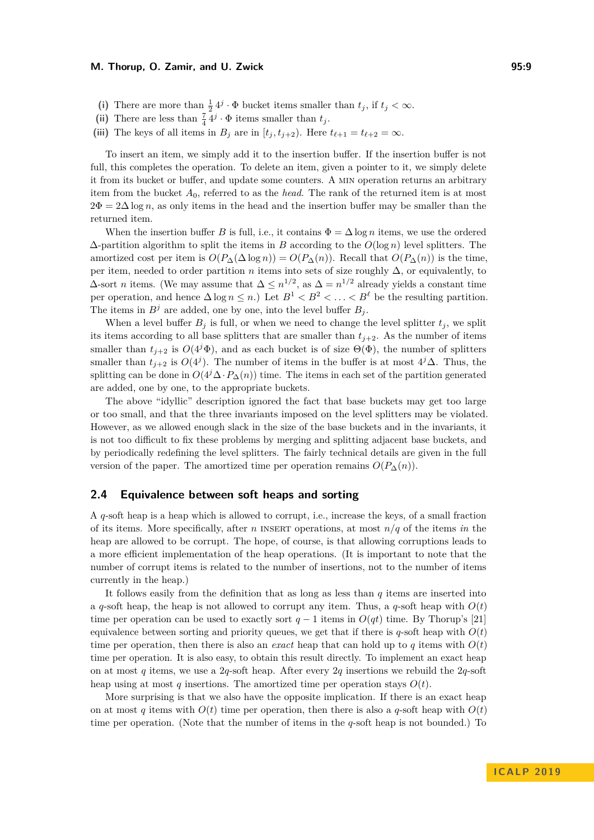- (i) There are more than  $\frac{1}{2}4^{j} \cdot \Phi$  bucket items smaller than  $t_j$ , if  $t_j < \infty$ .
- (ii) There are less than  $\frac{7}{4}4^j \cdot \Phi$  items smaller than  $t_j$ .
- (iii) The keys of all items in  $B_j$  are in  $[t_j, t_{j+2})$ . Here  $t_{\ell+1} = t_{\ell+2} = \infty$ .

To insert an item, we simply add it to the insertion buffer. If the insertion buffer is not full, this completes the operation. To delete an item, given a pointer to it, we simply delete it from its bucket or buffer, and update some counters. A min operation returns an arbitrary item from the bucket *A*0, referred to as the *head*. The rank of the returned item is at most  $2\Phi = 2\Delta \log n$ , as only items in the head and the insertion buffer may be smaller than the returned item.

When the insertion buffer *B* is full, i.e., it contains  $\Phi = \Delta \log n$  items, we use the ordered ∆-partition algorithm to split the items in *B* according to the *O*(log *n*) level splitters. The amortized cost per item is  $O(P_{\Delta}(\Delta \log n)) = O(P_{\Delta}(n))$ . Recall that  $O(P_{\Delta}(n))$  is the time, per item, needed to order partition *n* items into sets of size roughly  $\Delta$ , or equivalently, to  $\Delta$ -sort *n* items. (We may assume that  $\Delta \leq n^{1/2}$ , as  $\Delta = n^{1/2}$  already yields a constant time per operation, and hence  $\Delta \log n \leq n$ .) Let  $B^1 < B^2 < \ldots < B^\ell$  be the resulting partition. The items in  $B^j$  are added, one by one, into the level buffer  $B_j$ .

When a level buffer  $B_j$  is full, or when we need to change the level splitter  $t_j$ , we split its items according to all base splitters that are smaller than  $t_{j+2}$ . As the number of items smaller than  $t_{i+2}$  is  $O(4^{j} \Phi)$ , and as each bucket is of size  $\Theta(\Phi)$ , the number of splitters smaller than  $t_{j+2}$  is  $O(4^j)$ . The number of items in the buffer is at most  $4^j\Delta$ . Thus, the splitting can be done in  $O(4^{j} \Delta \cdot P_{\Delta}(n))$  time. The items in each set of the partition generated are added, one by one, to the appropriate buckets.

The above "idyllic" description ignored the fact that base buckets may get too large or too small, and that the three invariants imposed on the level splitters may be violated. However, as we allowed enough slack in the size of the base buckets and in the invariants, it is not too difficult to fix these problems by merging and splitting adjacent base buckets, and by periodically redefining the level splitters. The fairly technical details are given in the full version of the paper. The amortized time per operation remains  $O(P_{\Delta}(n))$ .

### **2.4 Equivalence between soft heaps and sorting**

A *q*-soft heap is a heap which is allowed to corrupt, i.e., increase the keys, of a small fraction of its items. More specifically, after *n* INSERT operations, at most  $n/q$  of the items *in* the heap are allowed to be corrupt. The hope, of course, is that allowing corruptions leads to a more efficient implementation of the heap operations. (It is important to note that the number of corrupt items is related to the number of insertions, not to the number of items currently in the heap.)

It follows easily from the definition that as long as less than *q* items are inserted into a *q*-soft heap, the heap is not allowed to corrupt any item. Thus, a *q*-soft heap with  $O(t)$ time per operation can be used to exactly sort  $q-1$  items in  $O(qt)$  time. By Thorup's [\[21\]](#page-12-15) equivalence between sorting and priority queues, we get that if there is  $q$ -soft heap with  $O(t)$ time per operation, then there is also an *exact* heap that can hold up to *q* items with  $O(t)$ time per operation. It is also easy, to obtain this result directly. To implement an exact heap on at most *q* items, we use a 2*q*-soft heap. After every 2*q* insertions we rebuild the 2*q*-soft heap using at most *q* insertions. The amortized time per operation stays  $O(t)$ .

More surprising is that we also have the opposite implication. If there is an exact heap on at most *q* items with  $O(t)$  time per operation, then there is also a *q*-soft heap with  $O(t)$ time per operation. (Note that the number of items in the *q*-soft heap is not bounded.) To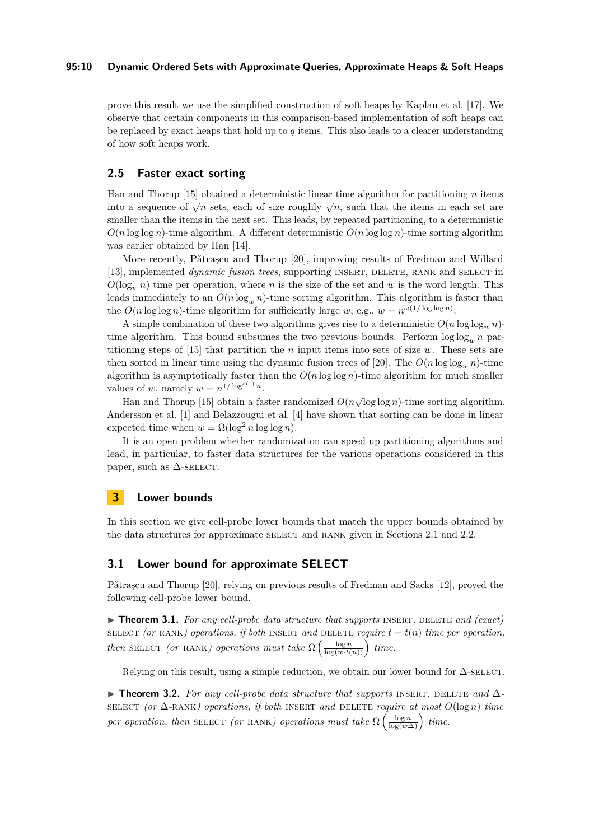#### **95:10 Dynamic Ordered Sets with Approximate Queries, Approximate Heaps & Soft Heaps**

prove this result we use the simplified construction of soft heaps by Kaplan et al. [\[17\]](#page-12-8). We observe that certain components in this comparison-based implementation of soft heaps can be replaced by exact heaps that hold up to *q* items. This also leads to a clearer understanding of how soft heaps work.

# **2.5 Faster exact sorting**

Han and Thorup [\[15\]](#page-12-10) obtained a deterministic linear time algorithm for partitioning *n* items into a sequence of  $\sqrt{n}$  sets, each of size roughly  $\sqrt{n}$ , such that the items in each set are smaller than the items in the next set. This leads, by repeated partitioning, to a deterministic  $O(n \log \log n)$ -time algorithm. A different deterministic  $O(n \log \log n)$ -time sorting algorithm was earlier obtained by Han [\[14\]](#page-12-16).

More recently, Pǎtraşcu and Thorup [\[20\]](#page-12-4), improving results of Fredman and Willard [\[13\]](#page-12-17), implemented *dynamic fusion trees*, supporting INSERT, DELETE, RANK and SELECT in  $O(\log_{w} n)$  time per operation, where *n* is the size of the set and *w* is the word length. This leads immediately to an  $O(n \log_w n)$ -time sorting algorithm. This algorithm is faster than the  $O(n \log \log n)$ -time algorithm for sufficiently large *w*, e.g.,  $w = n^{\omega(1/\log \log n)}$ .

A simple combination of these two algorithms gives rise to a deterministic  $O(n \log \log_{w} n)$ time algorithm. This bound subsumes the two previous bounds. Perform  $\log \log_{w} n$  partitioning steps of [\[15\]](#page-12-10) that partition the *n* input items into sets of size *w*. These sets are then sorted in linear time using the dynamic fusion trees of [\[20\]](#page-12-4). The  $O(n \log \log_{w} n)$ -time algorithm is asymptotically faster than the  $O(n \log \log n)$ -time algorithm for much smaller values of *w*, namely  $w = n^{1/\log^{o(1)} n}$ .

Han and Thorup [\[15\]](#page-12-10) obtain a faster randomized  $O(n\sqrt{\log \log n})$ -time sorting algorithm. Andersson et al. [\[1\]](#page-11-3) and Belazzougui et al. [\[4\]](#page-11-4) have shown that sorting can be done in linear expected time when  $w = \Omega(\log^2 n \log \log n)$ .

It is an open problem whether randomization can speed up partitioning algorithms and lead, in particular, to faster data structures for the various operations considered in this paper, such as  $\Delta$ -SELECT.

# <span id="page-9-0"></span>**3 Lower bounds**

In this section we give cell-probe lower bounds that match the upper bounds obtained by the data structures for approximate SELECT and RANK given in Sections [2.1](#page-4-2) and [2.2.](#page-6-0)

# **3.1 Lower bound for approximate SELECT**

Pǎtrascu and Thorup [\[20\]](#page-12-4), relying on previous results of Fredman and Sacks [\[12\]](#page-12-5), proved the following cell-probe lower bound.

<span id="page-9-1"></span> $\triangleright$  **Theorem 3.1.** For any cell-probe data structure that supports INSERT, DELETE and (exact) select (or RANK) operations, if both INSERT and DELETE require  $t = t(n)$  time per operation, *then* SELECT *(or* RANK*)* operations must take  $\Omega\left(\frac{\log n}{\log(w \cdot t(n))}\right)$  time.

Relying on this result, using a simple reduction, we obtain our lower bound for  $\Delta$ -SELECT.

<span id="page-9-2"></span>**► Theorem 3.2.** For any cell-probe data structure that supports INSERT, DELETE and  $\Delta$ -SELECT *(or*  $\Delta$ -RANK*)* operations, if both INSERT and DELETE require at most  $O(\log n)$  time *per operation, then* SELECT *(or* RANK*) operations must take*  $\Omega\left(\frac{\log n}{\log(w\Delta)}\right)$  *time.*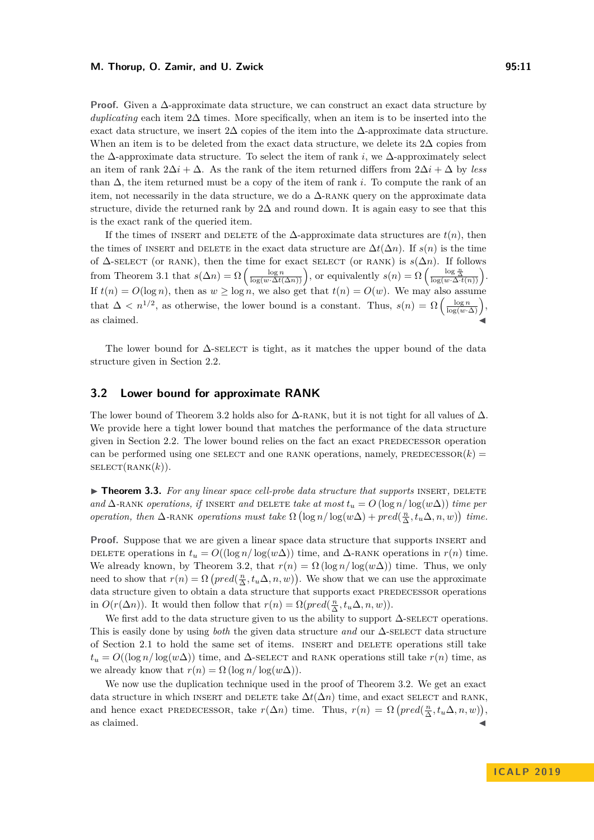**Proof.** Given a ∆-approximate data structure, we can construct an exact data structure by *duplicating* each item 2∆ times. More specifically, when an item is to be inserted into the exact data structure, we insert  $2\Delta$  copies of the item into the  $\Delta$ -approximate data structure. When an item is to be deleted from the exact data structure, we delete its  $2\Delta$  copies from the ∆-approximate data structure. To select the item of rank *i*, we ∆-approximately select an item of rank  $2\Delta i + \Delta$ . As the rank of the item returned differs from  $2\Delta i + \Delta$  by *less* than ∆, the item returned must be a copy of the item of rank *i*. To compute the rank of an item, not necessarily in the data structure, we do a  $\Delta$ -RANK query on the approximate data structure, divide the returned rank by  $2\Delta$  and round down. It is again easy to see that this is the exact rank of the queried item.

If the times of INSERT and DELETE of the  $\Delta$ -approximate data structures are  $t(n)$ , then the times of INSERT and DELETE in the exact data structure are  $\Delta t(\Delta n)$ . If  $s(n)$  is the time of  $\Delta$ -select (or RANK), then the time for exact select (or RANK) is  $s(\Delta n)$ . If follows from Theorem [3.1](#page-9-1) that  $s(\Delta n) = \Omega\left(\frac{\log n}{\log(w \cdot \Delta t(\Delta n))}\right)$ , or equivalently  $s(n) = \Omega\left(\frac{\log \frac{n}{\Delta}}{\log(w \cdot \Delta \cdot t(n))}\right)$ . If  $t(n) = O(\log n)$ , then as  $w \geq \log n$ , we also get that  $t(n) = O(w)$ . We may also assume that  $\Delta < n^{1/2}$ , as otherwise, the lower bound is a constant. Thus,  $s(n) = \Omega\left(\frac{\log n}{\log(w \cdot \Delta)}\right)$ , as claimed.  $\blacktriangleleft$ 

The lower bound for  $\Delta$ -SELECT is tight, as it matches the upper bound of the data structure given in Section [2.2.](#page-6-0)

## **3.2 Lower bound for approximate RANK**

The lower bound of Theorem [3.2](#page-9-2) holds also for  $\Delta$ -RANK, but it is not tight for all values of  $\Delta$ . We provide here a tight lower bound that matches the performance of the data structure given in Section [2.2.](#page-6-0) The lower bound relies on the fact an exact PREDECESSOR operation can be performed using one SELECT and one RANK operations, namely, PREDECESSOR $(k)$  $SELECT(RANK(k)).$ 

 $\triangleright$  **Theorem 3.3.** For any linear space cell-probe data structure that supports INSERT, DELETE *and* ∆-rank *operations, if* INSERT *and* DELETE *take at most*  $t_u = O(\log n / \log(w \Delta))$  *time per operation, then*  $\Delta$ -rank *operations must take*  $\Omega$  (log *n*/ $\log(w\Delta) + pred(\frac{n}{\Delta}, t_u\Delta, n, w)$ ) time.

**Proof.** Suppose that we are given a linear space data structure that supports INSERT and DELETE operations in  $t_u = O((\log n / \log(w \Delta))$  time, and  $\Delta$ -RANK operations in  $r(n)$  time. We already known, by Theorem [3.2,](#page-9-2) that  $r(n) = \Omega(\log n / \log(w \Delta))$  time. Thus, we only need to show that  $r(n) = \Omega$   $(pred(\frac{n}{\Delta}, t_u \Delta, n, w))$ . We show that we can use the approximate data structure given to obtain a data structure that supports exact PREDECESSOR operations in  $O(r(\Delta n))$ . It would then follow that  $r(n) = \Omega(pred(\frac{n}{\Delta}, t_u \Delta, n, w)).$ 

We first add to the data structure given to us the ability to support  $\Delta$ -SELECT operations. This is easily done by using *both* the given data structure *and* our ∆-select data structure of Section [2.1](#page-4-2) to hold the same set of items. insert and delete operations still take  $t_u = O((\log n / \log(w \Delta))$  time, and  $\Delta$ -select and RANK operations still take  $r(n)$  time, as we already know that  $r(n) = \Omega(\log n / \log(w\Delta)).$ 

We now use the duplication technique used in the proof of Theorem [3.2.](#page-9-2) We get an exact data structure in which INSERT and DELETE take  $\Delta t(\Delta n)$  time, and exact SELECT and RANK. and hence exact PREDECESSOR, take  $r(\Delta n)$  time. Thus,  $r(n) = \Omega \left( pred(\frac{n}{\Delta}, t_u \Delta, n, w) \right)$ , as claimed.  $\blacksquare$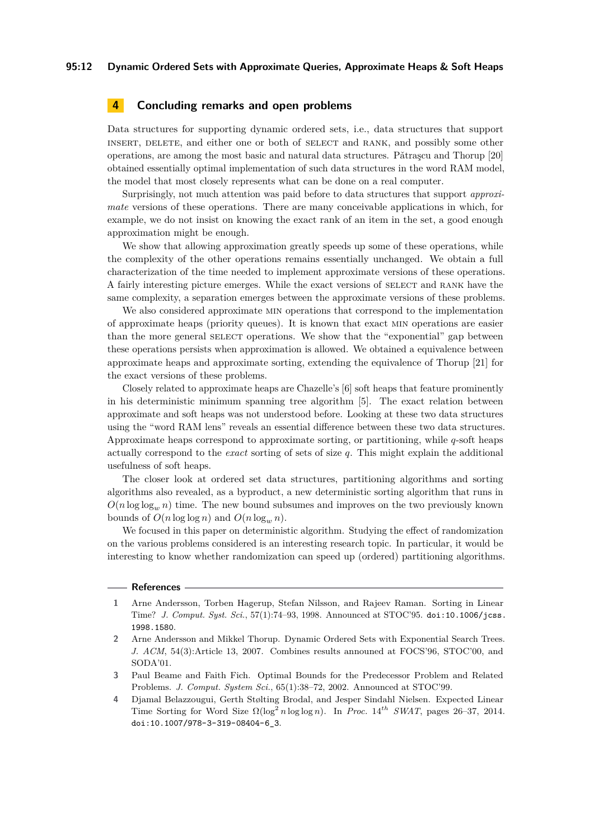# <span id="page-11-2"></span>**4 Concluding remarks and open problems**

Data structures for supporting dynamic ordered sets, i.e., data structures that support insert, delete, and either one or both of select and rank, and possibly some other operations, are among the most basic and natural data structures. Pǎtrascu and Thorup  $[20]$ obtained essentially optimal implementation of such data structures in the word RAM model, the model that most closely represents what can be done on a real computer.

Surprisingly, not much attention was paid before to data structures that support *approximate* versions of these operations. There are many conceivable applications in which, for example, we do not insist on knowing the exact rank of an item in the set, a good enough approximation might be enough.

We show that allowing approximation greatly speeds up some of these operations, while the complexity of the other operations remains essentially unchanged. We obtain a full characterization of the time needed to implement approximate versions of these operations. A fairly interesting picture emerges. While the exact versions of SELECT and RANK have the same complexity, a separation emerges between the approximate versions of these problems.

We also considered approximate min operations that correspond to the implementation of approximate heaps (priority queues). It is known that exact min operations are easier than the more general SELECT operations. We show that the "exponential" gap between these operations persists when approximation is allowed. We obtained a equivalence between approximate heaps and approximate sorting, extending the equivalence of Thorup [\[21\]](#page-12-15) for the exact versions of these problems.

Closely related to approximate heaps are Chazelle's [\[6\]](#page-12-6) soft heaps that feature prominently in his deterministic minimum spanning tree algorithm [\[5\]](#page-12-7). The exact relation between approximate and soft heaps was not understood before. Looking at these two data structures using the "word RAM lens" reveals an essential difference between these two data structures. Approximate heaps correspond to approximate sorting, or partitioning, while *q*-soft heaps actually correspond to the *exact* sorting of sets of size *q*. This might explain the additional usefulness of soft heaps.

The closer look at ordered set data structures, partitioning algorithms and sorting algorithms also revealed, as a byproduct, a new deterministic sorting algorithm that runs in  $O(n \log \log_{w} n)$  time. The new bound subsumes and improves on the two previously known bounds of  $O(n \log \log n)$  and  $O(n \log_w n)$ .

We focused in this paper on deterministic algorithm. Studying the effect of randomization on the various problems considered is an interesting research topic. In particular, it would be interesting to know whether randomization can speed up (ordered) partitioning algorithms.

#### **References**

- <span id="page-11-3"></span>**1** Arne Andersson, Torben Hagerup, Stefan Nilsson, and Rajeev Raman. Sorting in Linear Time? *J. Comput. Syst. Sci.*, 57(1):74–93, 1998. Announced at STOC'95. [doi:10.1006/jcss.](http://dx.doi.org/10.1006/jcss.1998.1580) [1998.1580](http://dx.doi.org/10.1006/jcss.1998.1580).
- <span id="page-11-0"></span>**2** Arne Andersson and Mikkel Thorup. Dynamic Ordered Sets with Exponential Search Trees. *J. ACM*, 54(3):Article 13, 2007. Combines results announed at FOCS'96, STOC'00, and SODA'01.
- <span id="page-11-1"></span>**3** Paul Beame and Faith Fich. Optimal Bounds for the Predecessor Problem and Related Problems. *J. Comput. System Sci.*, 65(1):38–72, 2002. Announced at STOC'99.
- <span id="page-11-4"></span>**4** Djamal Belazzougui, Gerth Stølting Brodal, and Jesper Sindahl Nielsen. Expected Linear Time Sorting for Word Size  $\Omega(\log^2 n \log \log n)$ . In *Proc.* 14<sup>th</sup> *SWAT*, pages 26–37, 2014. [doi:10.1007/978-3-319-08404-6\\_3](http://dx.doi.org/10.1007/978-3-319-08404-6_3).